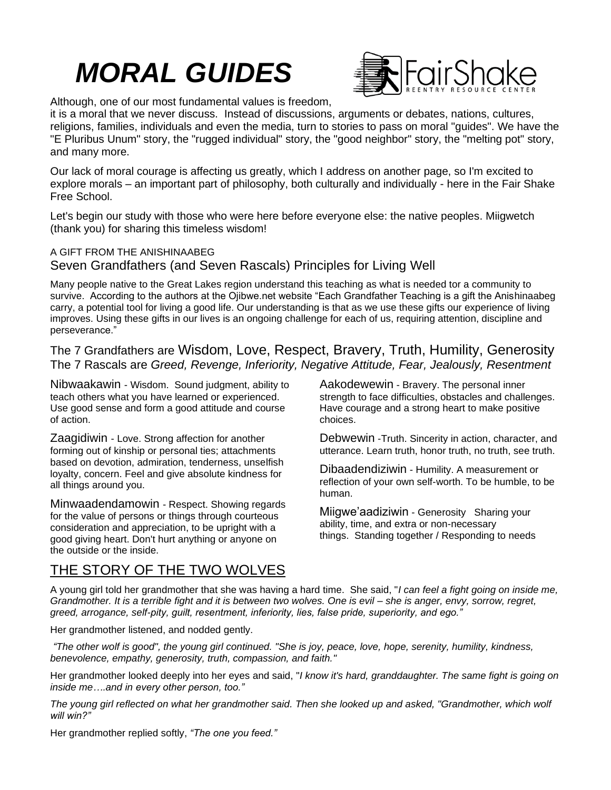## *MORAL GUIDES*



Although, one of our most fundamental values is freedom,

it is a moral that we never discuss. Instead of discussions, arguments or debates, nations, cultures, religions, families, individuals and even the media, turn to stories to pass on moral "guides". We have the "E Pluribus Unum" story, the "rugged individual" story, the "good neighbor" story, the "melting pot" story, and many more.

Our lack of moral courage is affecting us greatly, which I address on another page, so I'm excited to explore morals – an important part of philosophy, both culturally and individually - here in the Fair Shake Free School.

Let's begin our study with those who were here before everyone else: the native peoples. Miigwetch (thank you) for sharing this timeless wisdom!

## A GIFT FROM THE ANISHINAABEG Seven Grandfathers (and Seven Rascals) Principles for Living Well

Many people native to the Great Lakes region understand this teaching as what is needed tor a community to survive. According to the authors at the Ojibwe.net website "Each Grandfather Teaching is a gift the Anishinaabeg carry, a potential tool for living a good life. Our understanding is that as we use these gifts our experience of living improves. Using these gifts in our lives is an ongoing challenge for each of us, requiring attention, discipline and perseverance."

The 7 Grandfathers are Wisdom, Love, Respect, Bravery, Truth, Humility, Generosity The 7 Rascals are *Greed, Revenge, Inferiority, Negative Attitude, Fear, Jealously, Resentment*

Nibwaakawin - Wisdom. Sound judgment, ability to teach others what you have learned or experienced. Use good sense and form a good attitude and course of action.

Zaagidiwin - Love. Strong affection for another forming out of kinship or personal ties; attachments based on devotion, admiration, tenderness, unselfish loyalty, concern. Feel and give absolute kindness for all things around you.

Minwaadendamowin - Respect. Showing regards for the value of persons or things through courteous consideration and appreciation, to be upright with a good giving heart. Don't hurt anything or anyone on the outside or the inside.

Aakodewewin - Bravery. The personal inner strength to face difficulties, obstacles and challenges. Have courage and a strong heart to make positive choices.

Debwewin -Truth. Sincerity in action, character, and utterance. Learn truth, honor truth, no truth, see truth.

Dibaadendiziwin - Humility. A measurement or reflection of your own self-worth. To be humble, to be human.

Miigwe'aadiziwin - Generosity Sharing your ability, time, and extra or non-necessary things. Standing together / Responding to needs

## THE STORY OF THE TWO WOLVES

A young girl told her grandmother that she was having a hard time. She said, "*I can feel a fight going on inside me, Grandmother. It is a terrible fight and it is between two wolves. One is evil – she is anger, envy, sorrow, regret, greed, arrogance, self-pity, guilt, resentment, inferiority, lies, false pride, superiority, and ego."*

Her grandmother listened, and nodded gently.

*"The other wolf is good", the young girl continued. "She is joy, peace, love, hope, serenity, humility, kindness, benevolence, empathy, generosity, truth, compassion, and faith."*

Her grandmother looked deeply into her eyes and said, "*I know it's hard, granddaughter. The same fight is going on inside me….and in every other person, too."*

*The young girl reflected on what her grandmother said. Then she looked up and asked, "Grandmother, which wolf will win?"*

Her grandmother replied softly, *"The one you feed."*